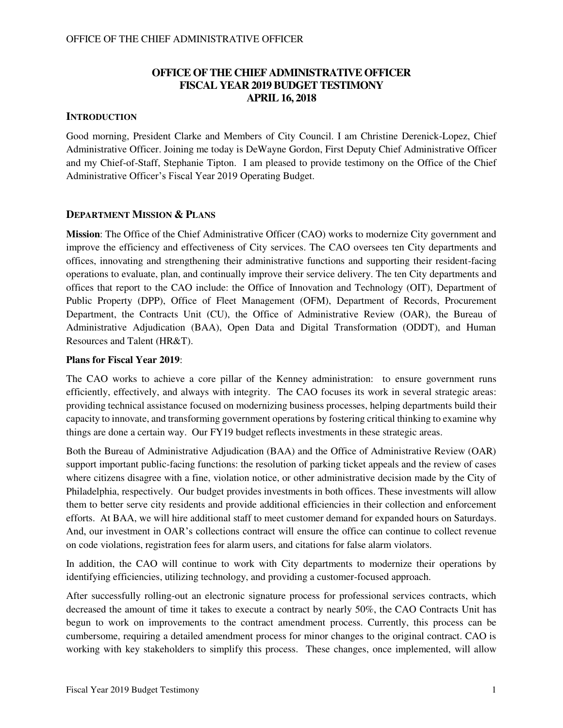# **OFFICE OF THE CHIEF ADMINISTRATIVE OFFICER FISCAL YEAR 2019 BUDGET TESTIMONY APRIL 16, 2018**

## **INTRODUCTION**

Good morning, President Clarke and Members of City Council. I am Christine Derenick-Lopez, Chief Administrative Officer. Joining me today is DeWayne Gordon, First Deputy Chief Administrative Officer and my Chief-of-Staff, Stephanie Tipton. I am pleased to provide testimony on the Office of the Chief Administrative Officer's Fiscal Year 2019 Operating Budget.

### **DEPARTMENT MISSION & PLANS**

**Mission**: The Office of the Chief Administrative Officer (CAO) works to modernize City government and improve the efficiency and effectiveness of City services. The CAO oversees ten City departments and offices, innovating and strengthening their administrative functions and supporting their resident-facing operations to evaluate, plan, and continually improve their service delivery. The ten City departments and offices that report to the CAO include: the Office of Innovation and Technology (OIT), Department of Public Property (DPP), Office of Fleet Management (OFM), Department of Records, Procurement Department, the Contracts Unit (CU), the Office of Administrative Review (OAR), the Bureau of Administrative Adjudication (BAA), Open Data and Digital Transformation (ODDT), and Human Resources and Talent (HR&T).

### **Plans for Fiscal Year 2019**:

The CAO works to achieve a core pillar of the Kenney administration: to ensure government runs efficiently, effectively, and always with integrity. The CAO focuses its work in several strategic areas: providing technical assistance focused on modernizing business processes, helping departments build their capacity to innovate, and transforming government operations by fostering critical thinking to examine why things are done a certain way. Our FY19 budget reflects investments in these strategic areas.

Both the Bureau of Administrative Adjudication (BAA) and the Office of Administrative Review (OAR) support important public-facing functions: the resolution of parking ticket appeals and the review of cases where citizens disagree with a fine, violation notice, or other administrative decision made by the City of Philadelphia, respectively. Our budget provides investments in both offices. These investments will allow them to better serve city residents and provide additional efficiencies in their collection and enforcement efforts. At BAA, we will hire additional staff to meet customer demand for expanded hours on Saturdays. And, our investment in OAR's collections contract will ensure the office can continue to collect revenue on code violations, registration fees for alarm users, and citations for false alarm violators.

In addition, the CAO will continue to work with City departments to modernize their operations by identifying efficiencies, utilizing technology, and providing a customer-focused approach.

After successfully rolling-out an electronic signature process for professional services contracts, which decreased the amount of time it takes to execute a contract by nearly 50%, the CAO Contracts Unit has begun to work on improvements to the contract amendment process. Currently, this process can be cumbersome, requiring a detailed amendment process for minor changes to the original contract. CAO is working with key stakeholders to simplify this process. These changes, once implemented, will allow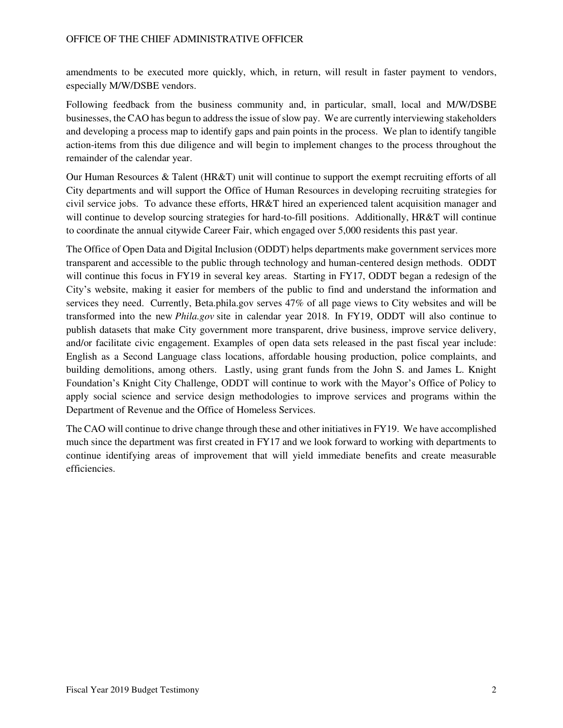amendments to be executed more quickly, which, in return, will result in faster payment to vendors, especially M/W/DSBE vendors.

Following feedback from the business community and, in particular, small, local and M/W/DSBE businesses, the CAO has begun to address the issue of slow pay. We are currently interviewing stakeholders and developing a process map to identify gaps and pain points in the process. We plan to identify tangible action-items from this due diligence and will begin to implement changes to the process throughout the remainder of the calendar year.

Our Human Resources & Talent (HR&T) unit will continue to support the exempt recruiting efforts of all City departments and will support the Office of Human Resources in developing recruiting strategies for civil service jobs. To advance these efforts, HR&T hired an experienced talent acquisition manager and will continue to develop sourcing strategies for hard-to-fill positions. Additionally, HR&T will continue to coordinate the annual citywide Career Fair, which engaged over 5,000 residents this past year.

The Office of Open Data and Digital Inclusion (ODDT) helps departments make government services more transparent and accessible to the public through technology and human-centered design methods. ODDT will continue this focus in FY19 in several key areas. Starting in FY17, ODDT began a redesign of the City's website, making it easier for members of the public to find and understand the information and services they need. Currently, Beta.phila.gov serves 47% of all page views to City websites and will be transformed into the new *Phila.gov* site in calendar year 2018. In FY19, ODDT will also continue to publish datasets that make City government more transparent, drive business, improve service delivery, and/or facilitate civic engagement. Examples of open data sets released in the past fiscal year include: English as a Second Language class locations, affordable housing production, police complaints, and building demolitions, among others. Lastly, using grant funds from the John S. and James L. Knight Foundation's Knight City Challenge, ODDT will continue to work with the Mayor's Office of Policy to apply social science and service design methodologies to improve services and programs within the Department of Revenue and the Office of Homeless Services.

The CAO will continue to drive change through these and other initiatives in FY19. We have accomplished much since the department was first created in FY17 and we look forward to working with departments to continue identifying areas of improvement that will yield immediate benefits and create measurable efficiencies.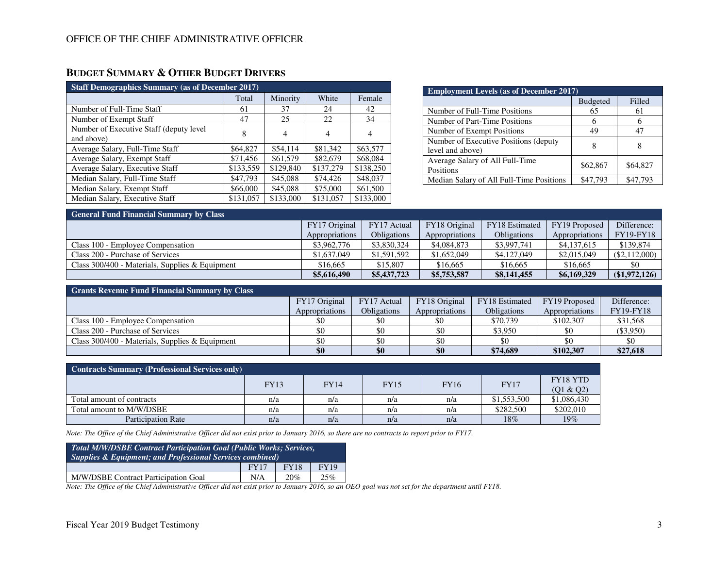# **BUDGET SUMMARY & OTHER BUDGET DRIVERS**

| <b>Staff Demographics Summary (as of December 2017)</b> |           |           |           |           |  |  |  |  |  |  |
|---------------------------------------------------------|-----------|-----------|-----------|-----------|--|--|--|--|--|--|
|                                                         | Total     | Minority  | White     | Female    |  |  |  |  |  |  |
| Number of Full-Time Staff                               | 61        | 37        | 24        | 42        |  |  |  |  |  |  |
| Number of Exempt Staff                                  | 47        | 25        | 22        | 34        |  |  |  |  |  |  |
| Number of Executive Staff (deputy level)<br>and above)  | 8         | 4         | 4         | 4         |  |  |  |  |  |  |
| Average Salary, Full-Time Staff                         | \$64,827  | \$54,114  | \$81,342  | \$63,577  |  |  |  |  |  |  |
| Average Salary, Exempt Staff                            | \$71,456  | \$61,579  | \$82,679  | \$68,084  |  |  |  |  |  |  |
| Average Salary, Executive Staff                         | \$133,559 | \$129,840 | \$137,279 | \$138,250 |  |  |  |  |  |  |
| Median Salary, Full-Time Staff                          | \$47,793  | \$45,088  | \$74,426  | \$48,037  |  |  |  |  |  |  |
| Median Salary, Exempt Staff                             | \$66,000  | \$45,088  | \$75,000  | \$61,500  |  |  |  |  |  |  |
| Median Salary, Executive Staff                          | \$131,057 | \$133,000 | \$131,057 | \$133,000 |  |  |  |  |  |  |

| <b>Employment Levels (as of December 2017)</b>             |                 |          |  |  |  |  |  |
|------------------------------------------------------------|-----------------|----------|--|--|--|--|--|
|                                                            | <b>Budgeted</b> | Filled   |  |  |  |  |  |
| Number of Full-Time Positions                              | 65              | 61       |  |  |  |  |  |
| Number of Part-Time Positions                              |                 |          |  |  |  |  |  |
| Number of Exempt Positions                                 | 49              | 47       |  |  |  |  |  |
| Number of Executive Positions (deputy)<br>level and above) |                 |          |  |  |  |  |  |
| Average Salary of All Full-Time<br>Positions               | \$62,867        | \$64,827 |  |  |  |  |  |
| Median Salary of All Full-Time Positions                   | \$47,793        | \$47,793 |  |  |  |  |  |

| <b>General Fund Financial Summary by Class</b>  |                |                    |                |                    |                |                  |  |  |  |  |  |
|-------------------------------------------------|----------------|--------------------|----------------|--------------------|----------------|------------------|--|--|--|--|--|
|                                                 | FY17 Original  | FY17 Actual        | FY18 Original  | FY18 Estimated     | FY19 Proposed  | Difference:      |  |  |  |  |  |
|                                                 | Appropriations | <b>Obligations</b> | Appropriations | <b>Obligations</b> | Appropriations | <b>FY19-FY18</b> |  |  |  |  |  |
| Class 100 - Employee Compensation               | \$3,962,776    | \$3,830,324        | \$4,084,873    | \$3,997,741        | \$4,137,615    | \$139,874        |  |  |  |  |  |
| Class 200 - Purchase of Services                | \$1,637,049    | \$1,591,592        | \$1,652,049    | \$4,127,049        | \$2,015,049    | $(\$2,112,000)$  |  |  |  |  |  |
| Class 300/400 - Materials, Supplies & Equipment | \$16,665       | \$15,807           | \$16,665       | \$16,665           | \$16,665       | \$0              |  |  |  |  |  |
|                                                 | \$5,616,490    | \$5,437,723        | \$5,753,587    | \$8,141,455        | \$6,169,329    | (\$1,972,126)    |  |  |  |  |  |

| <b>Grants Revenue Fund Financial Summary by Class</b> |                |                    |                |                    |                |                  |  |  |  |  |  |
|-------------------------------------------------------|----------------|--------------------|----------------|--------------------|----------------|------------------|--|--|--|--|--|
|                                                       | FY17 Original  | FY17 Actual        | FY18 Original  | FY18 Estimated     | FY19 Proposed  | Difference:      |  |  |  |  |  |
|                                                       | Appropriations | <b>Obligations</b> | Appropriations | <b>Obligations</b> | Appropriations | <b>FY19-FY18</b> |  |  |  |  |  |
| Class 100 - Employee Compensation                     |                |                    |                | \$70,739           | \$102,307      | \$31,568         |  |  |  |  |  |
| Class 200 - Purchase of Services                      |                |                    |                | \$3,950            |                | $(\$3,950)$      |  |  |  |  |  |
| Class $300/400$ - Materials, Supplies & Equipment     | \$0            |                    |                |                    |                |                  |  |  |  |  |  |
|                                                       | \$0            | \$0                | \$0            | \$74,689           | \$102,307      | \$27,618         |  |  |  |  |  |

| <b>Contracts Summary (Professional Services only)</b> |             |             |             |             |             |                       |  |  |  |  |
|-------------------------------------------------------|-------------|-------------|-------------|-------------|-------------|-----------------------|--|--|--|--|
|                                                       | <b>FY13</b> | <b>FY14</b> | <b>FY15</b> | <b>FY16</b> | <b>FY17</b> | FY18 YTD<br>(Q1 & Q2) |  |  |  |  |
| Total amount of contracts                             | n/a         | n/a         | n/a         | n/a         | \$1,553,500 | \$1,086,430           |  |  |  |  |
| Total amount to M/W/DSBE                              | n/a         | n/a         | n/a         | n/a         | \$282,500   | \$202,010             |  |  |  |  |
| <b>Participation Rate</b>                             | n/a         | n/a         | n/a         | n/a         | 18%         | 19%                   |  |  |  |  |

*Note: The Office of the Chief Administrative Officer did not exist prior to January 2016, so there are no contracts to report prior to FY17.* 

| Total M/W/DSBE Contract Participation Goal (Public Works; Services,<br><b>Supplies &amp; Equipment; and Professional Services combined)</b> |             |             |             |  |  |  |  |
|---------------------------------------------------------------------------------------------------------------------------------------------|-------------|-------------|-------------|--|--|--|--|
|                                                                                                                                             | <b>FY17</b> | <b>FY18</b> | <b>FY19</b> |  |  |  |  |
| M/W/DSBE Contract Participation Goal                                                                                                        | N/A         | 20%         | 25%         |  |  |  |  |

*Note: The Office of the Chief Administrative Officer did not exist prior to January 2016, so an OEO goal was not set for the department until FY18.*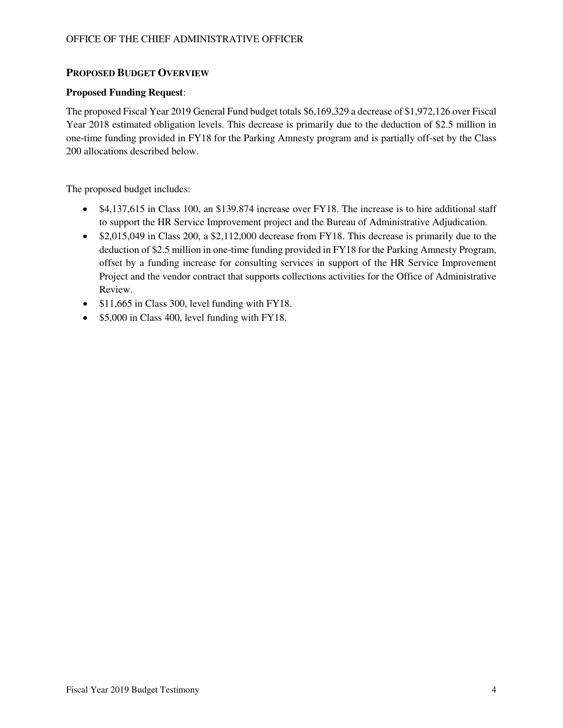## **PROPOSED BUDGET OVERVIEW**

### **Proposed Funding Request**:

The proposed Fiscal Year 2019 General Fund budget totals \$6,169,329 a decrease of \$1,972,126 over Fiscal Year 2018 estimated obligation levels. This decrease is primarily due to the deduction of \$2.5 million in one-time funding provided in FY18 for the Parking Amnesty program and is partially off-set by the Class 200 allocations described below.

The proposed budget includes:

- \$4,137,615 in Class 100, an \$139,874 increase over FY18. The increase is to hire additional staff to support the HR Service Improvement project and the Bureau of Administrative Adjudication.
- \$2,015,049 in Class 200, a \$2,112,000 decrease from FY18. This decrease is primarily due to the deduction of \$2.5 million in one-time funding provided in FY18 for the Parking Amnesty Program, offset by a funding increase for consulting services in support of the HR Service Improvement Project and the vendor contract that supports collections activities for the Office of Administrative Review.
- \$11,665 in Class 300, level funding with FY18.
- \$5,000 in Class 400, level funding with FY18.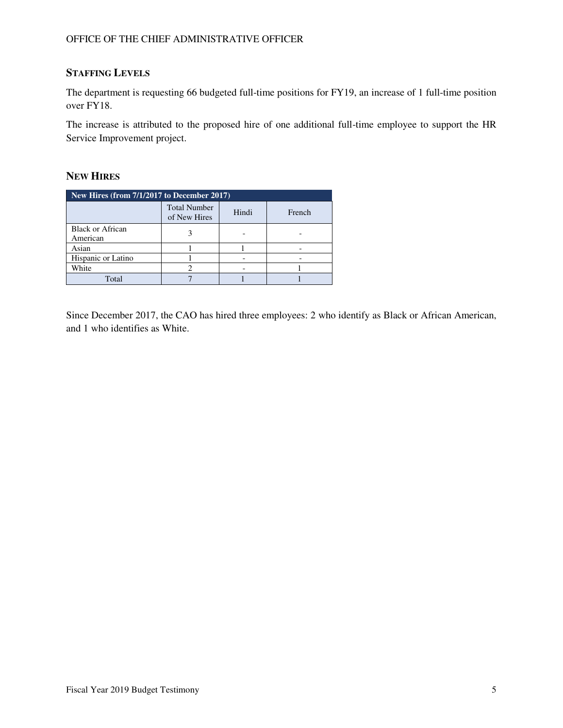# **STAFFING LEVELS**

The department is requesting 66 budgeted full-time positions for FY19, an increase of 1 full-time position over FY18.

The increase is attributed to the proposed hire of one additional full-time employee to support the HR Service Improvement project.

### **NEW HIRES**

| New Hires (from $7/1/2\overline{017}$ to December 2017) |                                     |       |        |  |  |  |  |  |
|---------------------------------------------------------|-------------------------------------|-------|--------|--|--|--|--|--|
|                                                         | <b>Total Number</b><br>of New Hires | Hindi | French |  |  |  |  |  |
| <b>Black or African</b><br>American                     |                                     |       |        |  |  |  |  |  |
| Asian                                                   |                                     |       |        |  |  |  |  |  |
| Hispanic or Latino                                      |                                     |       |        |  |  |  |  |  |
| White                                                   |                                     |       |        |  |  |  |  |  |
| Total                                                   |                                     |       |        |  |  |  |  |  |

Since December 2017, the CAO has hired three employees: 2 who identify as Black or African American, and 1 who identifies as White.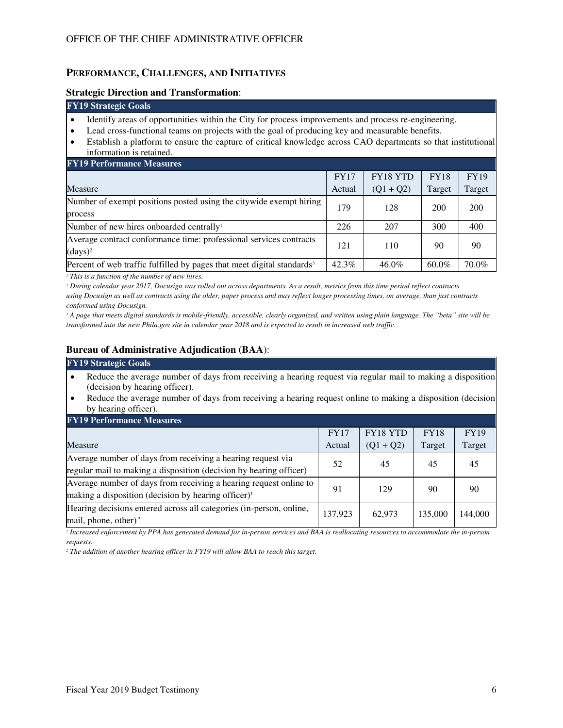### **PERFORMANCE, CHALLENGES, AND INITIATIVES**

#### **Strategic Direction and Transformation**:

### **FY19 Strategic Goals**

- Identify areas of opportunities within the City for process improvements and process re-engineering.
- Lead cross-functional teams on projects with the goal of producing key and measurable benefits.
- Establish a platform to ensure the capture of critical knowledge across CAO departments so that institutional information is retained.

| <b>FY19 Performance Measures</b>                                                   |             |             |             |             |  |  |  |  |  |
|------------------------------------------------------------------------------------|-------------|-------------|-------------|-------------|--|--|--|--|--|
|                                                                                    | <b>FY17</b> | FY18 YTD    | <b>FY18</b> | <b>FY19</b> |  |  |  |  |  |
| Measure                                                                            | Actual      | $(Q1 + Q2)$ | Target      | Target      |  |  |  |  |  |
| Number of exempt positions posted using the citywide exempt hiring                 | 179         | 128         | 200         | 200         |  |  |  |  |  |
| process                                                                            |             |             |             |             |  |  |  |  |  |
| Number of new hires onboarded centrally <sup>1</sup>                               | 226         | 207         | 300         | 400         |  |  |  |  |  |
| Average contract conformance time: professional services contracts                 | 121         | 110         | 90          | 90          |  |  |  |  |  |
| $(days)^2$                                                                         |             |             |             |             |  |  |  |  |  |
| Percent of web traffic fulfilled by pages that meet digital standards <sup>3</sup> | $42.3\%$    | 46.0%       | $60.0\%$    | 70.0%       |  |  |  |  |  |

*1 This is a function of the number of new hires.*

*2 During calendar year 2017, Docusign was rolled out across departments. As a result, metrics from this time period reflect contracts using Docusign as well as contracts using the older, paper process and may reflect longer processing times, on average, than just contracts conformed using Docusign.* 

*3 A page that meets digital standards is mobile-friendly, accessible, clearly organized, and written using plain language. The "beta" site will be transformed into the new Phila.gov site in calendar year 2018 and is expected to result in increased web traffic.*

# **Bureau of Administrative Adjudication (BAA**):

#### **FY19 Strategic Goals**

- Reduce the average number of days from receiving a hearing request via regular mail to making a disposition (decision by hearing officer).
- Reduce the average number of days from receiving a hearing request online to making a disposition (decision by hearing officer).

| <b>FY19 Performance Measures</b>                                    |             |                 |             |             |  |  |  |  |  |
|---------------------------------------------------------------------|-------------|-----------------|-------------|-------------|--|--|--|--|--|
|                                                                     | <b>FY17</b> | <b>FY18 YTD</b> | <b>FY18</b> | <b>FY19</b> |  |  |  |  |  |
| Measure                                                             | Actual      | $(Q1 + Q2)$     | Target      | Target      |  |  |  |  |  |
| Average number of days from receiving a hearing request via         | 52          | 45              | 45          | 45          |  |  |  |  |  |
| regular mail to making a disposition (decision by hearing officer)  |             |                 |             |             |  |  |  |  |  |
| Average number of days from receiving a hearing request online to   | 91          | 129             | 90          | 90          |  |  |  |  |  |
| making a disposition (decision by hearing officer) <sup>1</sup>     |             |                 |             |             |  |  |  |  |  |
| Hearing decisions entered across all categories (in-person, online, | 137,923     | 62,973          | 135,000     | 144.000     |  |  |  |  |  |
| mail, phone, other) <sup>2</sup>                                    |             |                 |             |             |  |  |  |  |  |

*1 Increased enforcement by PPA has generated demand for in-person services and BAA is reallocating resources to accommodate the in-person requests.*

*2 The addition of another hearing officer in FY19 will allow BAA to reach this target.*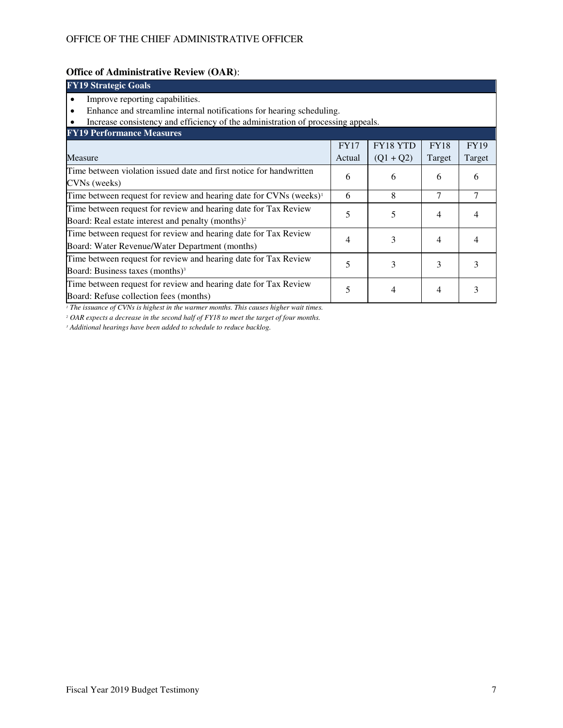# **Office of Administrative Review (OAR)**:

| <b>FY19 Strategic Goals</b>                                                      |             |             |             |             |  |  |  |  |  |
|----------------------------------------------------------------------------------|-------------|-------------|-------------|-------------|--|--|--|--|--|
| Improve reporting capabilities.                                                  |             |             |             |             |  |  |  |  |  |
| Enhance and streamline internal notifications for hearing scheduling.            |             |             |             |             |  |  |  |  |  |
| Increase consistency and efficiency of the administration of processing appeals. |             |             |             |             |  |  |  |  |  |
| <b>FY19 Performance Measures</b>                                                 |             |             |             |             |  |  |  |  |  |
|                                                                                  | <b>FY17</b> | FY18 YTD    | <b>FY18</b> | <b>FY19</b> |  |  |  |  |  |
| Measure                                                                          | Actual      | $(Q1 + Q2)$ | Target      | Target      |  |  |  |  |  |
| Time between violation issued date and first notice for handwritten              | 6           | 6           | 6           | 6           |  |  |  |  |  |
| CVNs (weeks)                                                                     |             |             |             |             |  |  |  |  |  |
| Time between request for review and hearing date for CVNs (weeks) <sup>1</sup>   | 6           | 8           | 7           | 7           |  |  |  |  |  |
| Time between request for review and hearing date for Tax Review                  | 5           | 5           | 4           |             |  |  |  |  |  |
| Board: Real estate interest and penalty (months) <sup>2</sup>                    |             |             |             |             |  |  |  |  |  |
| Time between request for review and hearing date for Tax Review                  | 4           | 3           | 4           |             |  |  |  |  |  |
| Board: Water Revenue/Water Department (months)                                   |             |             |             |             |  |  |  |  |  |
| Time between request for review and hearing date for Tax Review<br>5<br>3<br>3   |             |             |             |             |  |  |  |  |  |
| Board: Business taxes (months) <sup>3</sup>                                      |             |             |             | 3           |  |  |  |  |  |
| Time between request for review and hearing date for Tax Review                  | 5           | 4           | 4           |             |  |  |  |  |  |
| Board: Refuse collection fees (months)                                           |             |             |             |             |  |  |  |  |  |

*1 The issuance of CVNs is highest in the warmer months. This causes higher wait times.*

*2 OAR expects a decrease in the second half of FY18 to meet the target of four months.*

*3 Additional hearings have been added to schedule to reduce backlog.*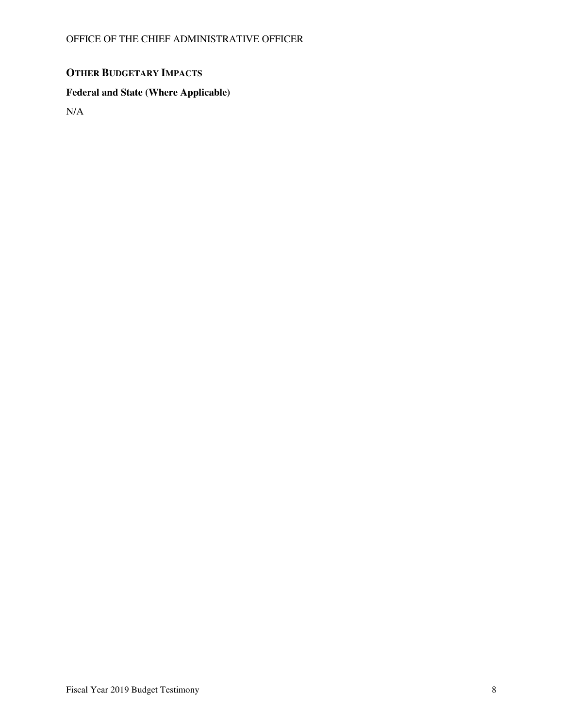# **OTHER BUDGETARY IMPACTS**

# **Federal and State (Where Applicable)**

N/A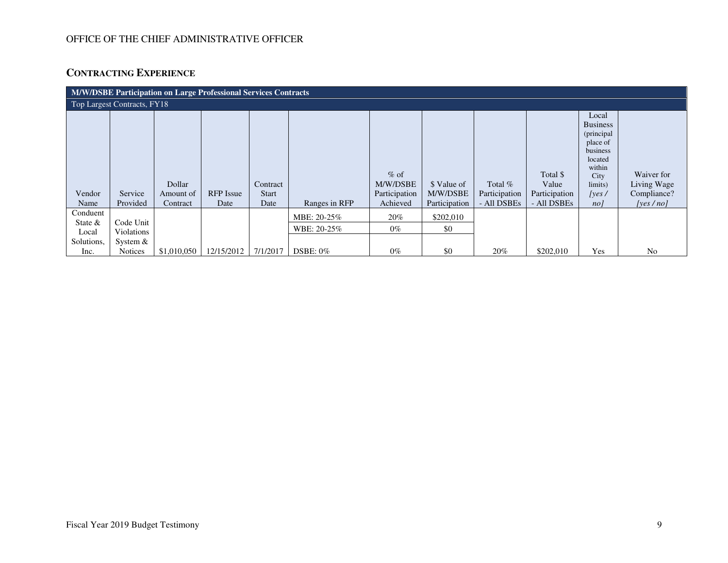# OFFICE OF THE CHIEF ADMINISTRATIVE OFFICER

# **CONTRACTING EXPERIENCE**

| M/W/DSBE Participation on Large Professional Services Contracts |                                       |                     |                  |                          |                            |                                     |                         |                          |                                    |                                                                                                                 |                                          |
|-----------------------------------------------------------------|---------------------------------------|---------------------|------------------|--------------------------|----------------------------|-------------------------------------|-------------------------|--------------------------|------------------------------------|-----------------------------------------------------------------------------------------------------------------|------------------------------------------|
| Top Largest Contracts, FY18                                     |                                       |                     |                  |                          |                            |                                     |                         |                          |                                    |                                                                                                                 |                                          |
| Vendor                                                          | Service                               | Dollar<br>Amount of | <b>RFP</b> Issue | Contract<br><b>Start</b> |                            | $%$ of<br>M/W/DSBE<br>Participation | \$ Value of<br>M/W/DSBE | Total %<br>Participation | Total \$<br>Value<br>Participation | Local<br><b>Business</b><br>(principal<br>place of<br>business<br>located<br>within<br>City<br>limits)<br>[yes/ | Waiver for<br>Living Wage<br>Compliance? |
| Name                                                            | Provided                              | Contract            | Date             | Date                     | Ranges in RFP              | Achieved                            | Participation           | - All DSBEs              | - All DSBEs                        | nol                                                                                                             | [ves/no]                                 |
| Conduent<br>State $\&$<br>Local<br>Solutions,                   | Code Unit<br>Violations<br>System $&$ |                     |                  |                          | MBE: 20-25%<br>WBE: 20-25% | $20\%$<br>$0\%$                     | \$202,010<br>\$0        |                          |                                    |                                                                                                                 |                                          |
| Inc.                                                            | <b>Notices</b>                        | \$1,010,050         | 12/15/2012       | 7/1/2017                 | $DSBE: 0\%$                | $0\%$                               | \$0                     | 20%                      | \$202,010                          | Yes                                                                                                             | No                                       |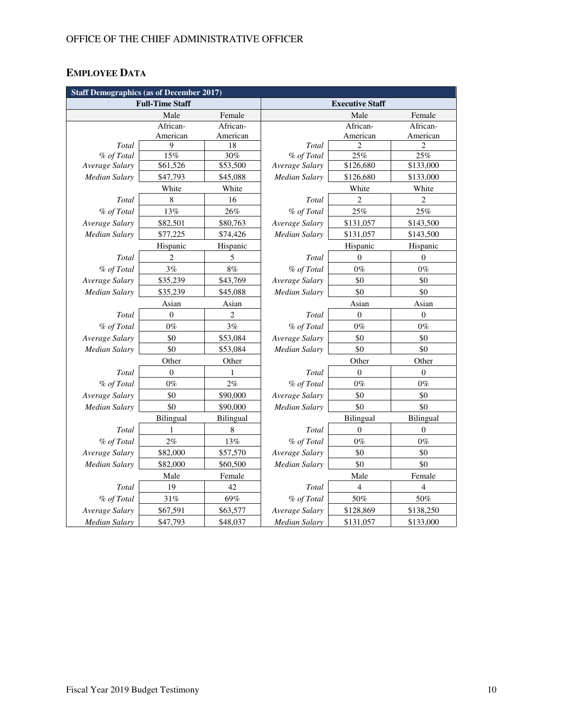# **EMPLOYEE DATA**

| <b>Staff Demographics (as of December 2017)</b> |                        |                  |                      |                         |                  |  |  |  |  |
|-------------------------------------------------|------------------------|------------------|----------------------|-------------------------|------------------|--|--|--|--|
|                                                 | <b>Full-Time Staff</b> |                  |                      | <b>Executive Staff</b>  |                  |  |  |  |  |
|                                                 | Male                   | Female           |                      | Male                    | Female           |  |  |  |  |
|                                                 | African-               | African-         |                      | African-                | African-         |  |  |  |  |
|                                                 | American               | American         |                      | American                | American         |  |  |  |  |
| <b>Total</b>                                    | 9                      | 18               | Total                | 2                       | $\overline{c}$   |  |  |  |  |
| % of Total                                      | 15%                    | 30%              | % of Total           | 25%                     | 25%              |  |  |  |  |
| Average Salary                                  | \$61,526               | \$53,500         | Average Salary       | \$126,680               | \$133,000        |  |  |  |  |
| Median Salary                                   | \$47,793               | \$45,088         | Median Salary        | \$126,680               | \$133,000        |  |  |  |  |
|                                                 | White                  | White            |                      | White                   | White            |  |  |  |  |
| Total                                           | $\,$ 8 $\,$            | 16               | Total                | $\sqrt{2}$              | $\overline{c}$   |  |  |  |  |
| % of Total                                      | 13%                    | 26%              | % of Total           | 25%                     | 25%              |  |  |  |  |
| Average Salary                                  | \$82,501               | \$80,763         | Average Salary       | \$131,057               | \$143,500        |  |  |  |  |
| Median Salary                                   | \$77,225               | \$74,426         | <b>Median Salary</b> | \$131,057               | \$143,500        |  |  |  |  |
|                                                 | Hispanic               | Hispanic         |                      | Hispanic                | Hispanic         |  |  |  |  |
| Total                                           | 2                      | 5                | Total                | $\mathbf{0}$            | $\mathbf{0}$     |  |  |  |  |
| % of Total                                      | 3%                     | 8%               | % of Total           | $0\%$                   | $0\%$            |  |  |  |  |
| Average Salary                                  | \$35,239               | \$43,769         | Average Salary       | \$0                     | \$0              |  |  |  |  |
| Median Salary                                   | \$35,239               | \$45,088         | Median Salary        | \$0                     | \$0              |  |  |  |  |
|                                                 | Asian                  | Asian            |                      | Asian                   | Asian            |  |  |  |  |
| Total                                           | $\overline{0}$         | 2                | Total                | $\mathbf{0}$            | $\theta$         |  |  |  |  |
| % of Total                                      | $0\%$                  | 3%               | % of Total           | $0\%$                   | $0\%$            |  |  |  |  |
| Average Salary                                  | \$0                    | \$53,084         | Average Salary       | \$0                     | \$0              |  |  |  |  |
| Median Salary                                   | \$0                    | \$53,084         | <b>Median Salary</b> | \$0                     | \$0              |  |  |  |  |
|                                                 | Other                  | Other            | Other<br>Other       |                         |                  |  |  |  |  |
| Total                                           | $\boldsymbol{0}$       | 1                | Total                | $\boldsymbol{0}$        | $\boldsymbol{0}$ |  |  |  |  |
| % of Total                                      | $0\%$                  | 2%               | % of Total           | $0\%$                   | $0\%$            |  |  |  |  |
| Average Salary                                  | \$0                    | \$90,000         | Average Salary       | \$0                     | \$0              |  |  |  |  |
| <b>Median Salary</b>                            | \$0                    | \$90,000         | Median Salary        | \$0                     | \$0              |  |  |  |  |
|                                                 | Bilingual              | <b>Bilingual</b> |                      | Bilingual               | Bilingual        |  |  |  |  |
| Total                                           | 1                      | 8                | Total                | 0                       | $\boldsymbol{0}$ |  |  |  |  |
| % of Total                                      | $2\%$                  | 13%              | % of Total           | $0\%$                   | $0\%$            |  |  |  |  |
| Average Salary                                  | \$82,000               | \$57,570         | Average Salary       | \$0                     | \$0              |  |  |  |  |
| Median Salary                                   | \$82,000               | \$60,500         | <b>Median Salary</b> | \$0                     | \$0              |  |  |  |  |
|                                                 | Male                   | Female           |                      | Male                    | Female           |  |  |  |  |
| Total                                           | 19                     | 42               | Total                | $\overline{\mathbf{4}}$ | $\overline{4}$   |  |  |  |  |
| % of Total                                      | $31\%$                 | 69%              | % of Total           | 50%                     | $50\%$           |  |  |  |  |
| Average Salary                                  | \$67,591               | \$63,577         | Average Salary       | \$128,869               | \$138,250        |  |  |  |  |
| <b>Median Salary</b>                            | \$47,793               | \$48,037         | <b>Median Salary</b> | \$131,057               | \$133,000        |  |  |  |  |